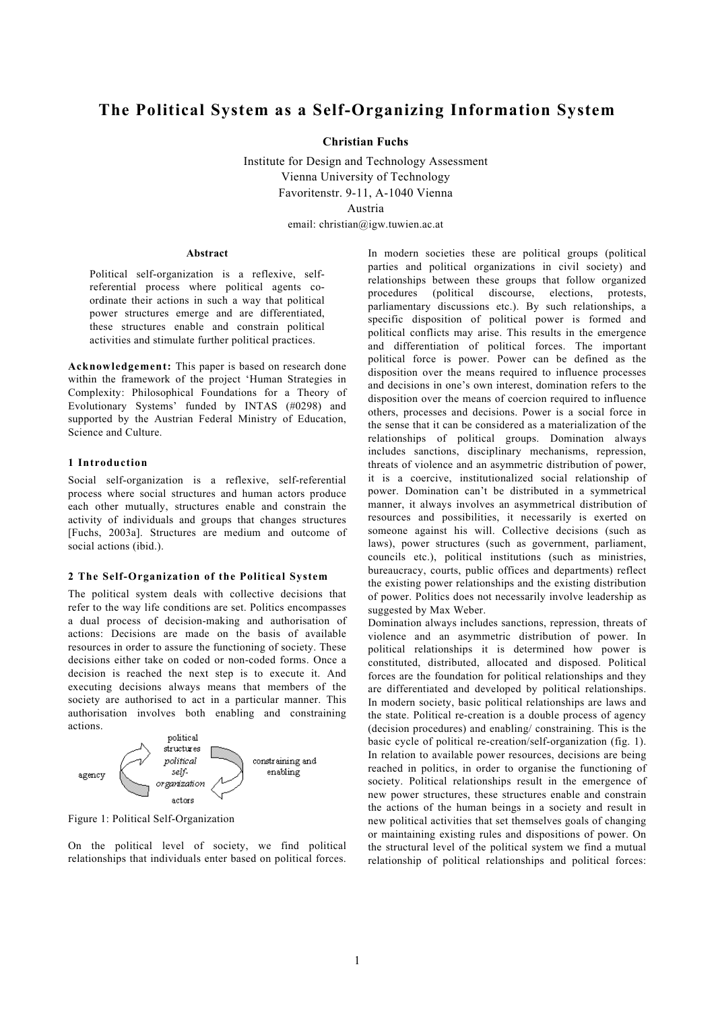# **The Political System as a Self-Organizing Information System**

**Christian Fuchs** 

Institute for Design and Technology Assessment Vienna University of Technology Favoritenstr. 9-11, A-1040 Vienna Austria email: christian@igw.tuwien.ac.at

#### **Abstract**

Political self-organization is a reflexive, selfreferential process where political agents coordinate their actions in such a way that political power structures emerge and are differentiated, these structures enable and constrain political activities and stimulate further political practices.

**Acknowledgement:** This paper is based on research done within the framework of the project 'Human Strategies in Complexity: Philosophical Foundations for a Theory of Evolutionary Systems' funded by INTAS (#0298) and supported by the Austrian Federal Ministry of Education, Science and Culture.

### **1 Introduction**

Social self-organization is a reflexive, self-referential process where social structures and human actors produce each other mutually, structures enable and constrain the activity of individuals and groups that changes structures [Fuchs, 2003a]. Structures are medium and outcome of social actions (ibid.).

#### **2 The Self-Organization of the Political System**

The political system deals with collective decisions that refer to the way life conditions are set. Politics encompasses a dual process of decision-making and authorisation of actions: Decisions are made on the basis of available resources in order to assure the functioning of society. These decisions either take on coded or non-coded forms. Once a decision is reached the next step is to execute it. And executing decisions always means that members of the society are authorised to act in a particular manner. This authorisation involves both enabling and constraining actions.



Figure 1: Political Self-Organization

On the political level of society, we find political relationships that individuals enter based on political forces.

In modern societies these are political groups (political parties and political organizations in civil society) and relationships between these groups that follow organized procedures (political discourse, elections, protests, parliamentary discussions etc.). By such relationships, a specific disposition of political power is formed and political conflicts may arise. This results in the emergence and differentiation of political forces. The important political force is power. Power can be defined as the disposition over the means required to influence processes and decisions in one's own interest, domination refers to the disposition over the means of coercion required to influence others, processes and decisions. Power is a social force in the sense that it can be considered as a materialization of the relationships of political groups. Domination always includes sanctions, disciplinary mechanisms, repression, threats of violence and an asymmetric distribution of power, it is a coercive, institutionalized social relationship of power. Domination can't be distributed in a symmetrical manner, it always involves an asymmetrical distribution of resources and possibilities, it necessarily is exerted on someone against his will. Collective decisions (such as laws), power structures (such as government, parliament, councils etc.), political institutions (such as ministries, bureaucracy, courts, public offices and departments) reflect the existing power relationships and the existing distribution of power. Politics does not necessarily involve leadership as suggested by Max Weber.

Domination always includes sanctions, repression, threats of violence and an asymmetric distribution of power. In political relationships it is determined how power is constituted, distributed, allocated and disposed. Political forces are the foundation for political relationships and they are differentiated and developed by political relationships. In modern society, basic political relationships are laws and the state. Political re-creation is a double process of agency (decision procedures) and enabling/ constraining. This is the basic cycle of political re-creation/self-organization (fig. 1). In relation to available power resources, decisions are being reached in politics, in order to organise the functioning of society. Political relationships result in the emergence of new power structures, these structures enable and constrain the actions of the human beings in a society and result in new political activities that set themselves goals of changing or maintaining existing rules and dispositions of power. On the structural level of the political system we find a mutual relationship of political relationships and political forces: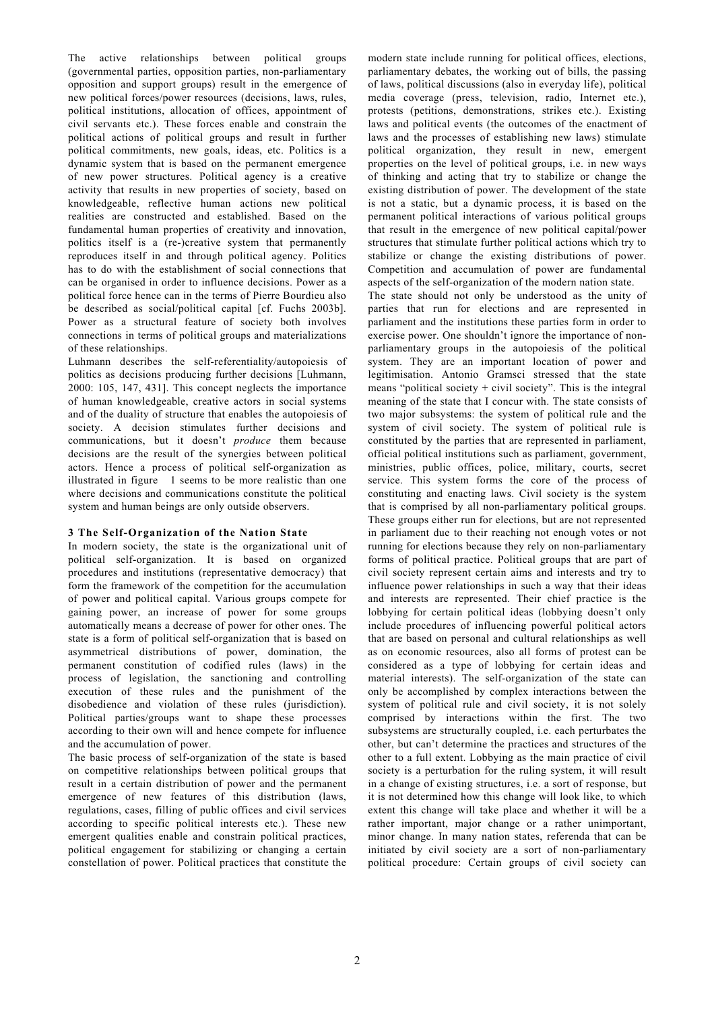The active relationships between political groups (governmental parties, opposition parties, non-parliamentary opposition and support groups) result in the emergence of new political forces/power resources (decisions, laws, rules, political institutions, allocation of offices, appointment of civil servants etc.). These forces enable and constrain the political actions of political groups and result in further political commitments, new goals, ideas, etc. Politics is a dynamic system that is based on the permanent emergence of new power structures. Political agency is a creative activity that results in new properties of society, based on knowledgeable, reflective human actions new political realities are constructed and established. Based on the fundamental human properties of creativity and innovation, politics itself is a (re-)creative system that permanently reproduces itself in and through political agency. Politics has to do with the establishment of social connections that can be organised in order to influence decisions. Power as a political force hence can in the terms of Pierre Bourdieu also be described as social/political capital [cf. Fuchs 2003b]. Power as a structural feature of society both involves connections in terms of political groups and materializations of these relationships.

Luhmann describes the self-referentiality/autopoiesis of politics as decisions producing further decisions [Luhmann, 2000: 105, 147, 431]. This concept neglects the importance of human knowledgeable, creative actors in social systems and of the duality of structure that enables the autopoiesis of society. A decision stimulates further decisions and communications, but it doesn't *produce* them because decisions are the result of the synergies between political actors. Hence a process of political self-organization as illustrated in figure 1 seems to be more realistic than one where decisions and communications constitute the political system and human beings are only outside observers.

## **3 The Self-Organization of the Nation State**

In modern society, the state is the organizational unit of political self-organization. It is based on organized procedures and institutions (representative democracy) that form the framework of the competition for the accumulation of power and political capital. Various groups compete for gaining power, an increase of power for some groups automatically means a decrease of power for other ones. The state is a form of political self-organization that is based on asymmetrical distributions of power, domination, the permanent constitution of codified rules (laws) in the process of legislation, the sanctioning and controlling execution of these rules and the punishment of the disobedience and violation of these rules (jurisdiction). Political parties/groups want to shape these processes according to their own will and hence compete for influence and the accumulation of power.

The basic process of self-organization of the state is based on competitive relationships between political groups that result in a certain distribution of power and the permanent emergence of new features of this distribution (laws, regulations, cases, filling of public offices and civil services according to specific political interests etc.). These new emergent qualities enable and constrain political practices, political engagement for stabilizing or changing a certain constellation of power. Political practices that constitute the

modern state include running for political offices, elections, parliamentary debates, the working out of bills, the passing of laws, political discussions (also in everyday life), political media coverage (press, television, radio, Internet etc.), protests (petitions, demonstrations, strikes etc.). Existing laws and political events (the outcomes of the enactment of laws and the processes of establishing new laws) stimulate political organization, they result in new, emergent properties on the level of political groups, i.e. in new ways of thinking and acting that try to stabilize or change the existing distribution of power. The development of the state is not a static, but a dynamic process, it is based on the permanent political interactions of various political groups that result in the emergence of new political capital/power structures that stimulate further political actions which try to stabilize or change the existing distributions of power. Competition and accumulation of power are fundamental aspects of the self-organization of the modern nation state.

The state should not only be understood as the unity of parties that run for elections and are represented in parliament and the institutions these parties form in order to exercise power. One shouldn't ignore the importance of nonparliamentary groups in the autopoiesis of the political system. They are an important location of power and legitimisation. Antonio Gramsci stressed that the state means "political society  $+$  civil society". This is the integral meaning of the state that I concur with. The state consists of two major subsystems: the system of political rule and the system of civil society. The system of political rule is constituted by the parties that are represented in parliament, official political institutions such as parliament, government, ministries, public offices, police, military, courts, secret service. This system forms the core of the process of constituting and enacting laws. Civil society is the system that is comprised by all non-parliamentary political groups. These groups either run for elections, but are not represented in parliament due to their reaching not enough votes or not running for elections because they rely on non-parliamentary forms of political practice. Political groups that are part of civil society represent certain aims and interests and try to influence power relationships in such a way that their ideas and interests are represented. Their chief practice is the lobbying for certain political ideas (lobbying doesn't only include procedures of influencing powerful political actors that are based on personal and cultural relationships as well as on economic resources, also all forms of protest can be considered as a type of lobbying for certain ideas and material interests). The self-organization of the state can only be accomplished by complex interactions between the system of political rule and civil society, it is not solely comprised by interactions within the first. The two subsystems are structurally coupled, i.e. each perturbates the other, but can't determine the practices and structures of the other to a full extent. Lobbying as the main practice of civil society is a perturbation for the ruling system, it will result in a change of existing structures, i.e. a sort of response, but it is not determined how this change will look like, to which extent this change will take place and whether it will be a rather important, major change or a rather unimportant, minor change. In many nation states, referenda that can be initiated by civil society are a sort of non-parliamentary political procedure: Certain groups of civil society can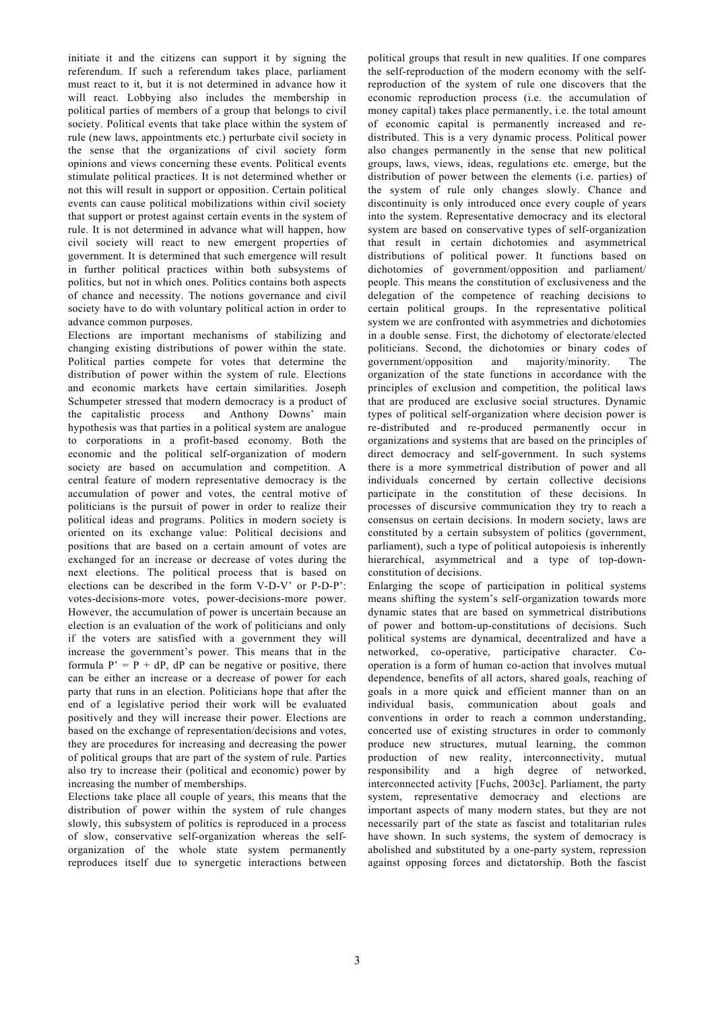initiate it and the citizens can support it by signing the referendum. If such a referendum takes place, parliament must react to it, but it is not determined in advance how it will react. Lobbying also includes the membership in political parties of members of a group that belongs to civil society. Political events that take place within the system of rule (new laws, appointments etc.) perturbate civil society in the sense that the organizations of civil society form opinions and views concerning these events. Political events stimulate political practices. It is not determined whether or not this will result in support or opposition. Certain political events can cause political mobilizations within civil society that support or protest against certain events in the system of rule. It is not determined in advance what will happen, how civil society will react to new emergent properties of government. It is determined that such emergence will result in further political practices within both subsystems of politics, but not in which ones. Politics contains both aspects of chance and necessity. The notions governance and civil society have to do with voluntary political action in order to advance common purposes.

Elections are important mechanisms of stabilizing and changing existing distributions of power within the state. Political parties compete for votes that determine the distribution of power within the system of rule. Elections and economic markets have certain similarities. Joseph Schumpeter stressed that modern democracy is a product of the capitalistic process and Anthony Downs' main hypothesis was that parties in a political system are analogue to corporations in a profit-based economy. Both the economic and the political self-organization of modern society are based on accumulation and competition. A central feature of modern representative democracy is the accumulation of power and votes, the central motive of politicians is the pursuit of power in order to realize their political ideas and programs. Politics in modern society is oriented on its exchange value: Political decisions and positions that are based on a certain amount of votes are exchanged for an increase or decrease of votes during the next elections. The political process that is based on elections can be described in the form V-D-V' or P-D-P': votes-decisions-more votes, power-decisions-more power. However, the accumulation of power is uncertain because an election is an evaluation of the work of politicians and only if the voters are satisfied with a government they will increase the government's power. This means that in the formula  $P' = P + dP$ , dP can be negative or positive, there can be either an increase or a decrease of power for each party that runs in an election. Politicians hope that after the end of a legislative period their work will be evaluated positively and they will increase their power. Elections are based on the exchange of representation/decisions and votes, they are procedures for increasing and decreasing the power of political groups that are part of the system of rule. Parties also try to increase their (political and economic) power by increasing the number of memberships.

Elections take place all couple of years, this means that the distribution of power within the system of rule changes slowly, this subsystem of politics is reproduced in a process of slow, conservative self-organization whereas the selforganization of the whole state system permanently reproduces itself due to synergetic interactions between political groups that result in new qualities. If one compares the self-reproduction of the modern economy with the selfreproduction of the system of rule one discovers that the economic reproduction process (i.e. the accumulation of money capital) takes place permanently, i.e. the total amount of economic capital is permanently increased and redistributed. This is a very dynamic process. Political power also changes permanently in the sense that new political groups, laws, views, ideas, regulations etc. emerge, but the distribution of power between the elements (i.e. parties) of the system of rule only changes slowly. Chance and discontinuity is only introduced once every couple of years into the system. Representative democracy and its electoral system are based on conservative types of self-organization that result in certain dichotomies and asymmetrical distributions of political power. It functions based on dichotomies of government/opposition and parliament/ people. This means the constitution of exclusiveness and the delegation of the competence of reaching decisions to certain political groups. In the representative political system we are confronted with asymmetries and dichotomies in a double sense. First, the dichotomy of electorate/elected politicians. Second, the dichotomies or binary codes of government/opposition and majority/minority. The organization of the state functions in accordance with the principles of exclusion and competition, the political laws that are produced are exclusive social structures. Dynamic types of political self-organization where decision power is re-distributed and re-produced permanently occur in organizations and systems that are based on the principles of direct democracy and self-government. In such systems there is a more symmetrical distribution of power and all individuals concerned by certain collective decisions participate in the constitution of these decisions. In processes of discursive communication they try to reach a consensus on certain decisions. In modern society, laws are constituted by a certain subsystem of politics (government, parliament), such a type of political autopoiesis is inherently hierarchical, asymmetrical and a type of top-downconstitution of decisions.

Enlarging the scope of participation in political systems means shifting the system's self-organization towards more dynamic states that are based on symmetrical distributions of power and bottom-up-constitutions of decisions. Such political systems are dynamical, decentralized and have a networked, co-operative, participative character. Cooperation is a form of human co-action that involves mutual dependence, benefits of all actors, shared goals, reaching of goals in a more quick and efficient manner than on an individual basis, communication about goals and conventions in order to reach a common understanding, concerted use of existing structures in order to commonly produce new structures, mutual learning, the common production of new reality, interconnectivity, mutual responsibility and a high degree of networked, interconnected activity [Fuchs, 2003c]. Parliament, the party system, representative democracy and elections are important aspects of many modern states, but they are not necessarily part of the state as fascist and totalitarian rules have shown. In such systems, the system of democracy is abolished and substituted by a one-party system, repression against opposing forces and dictatorship. Both the fascist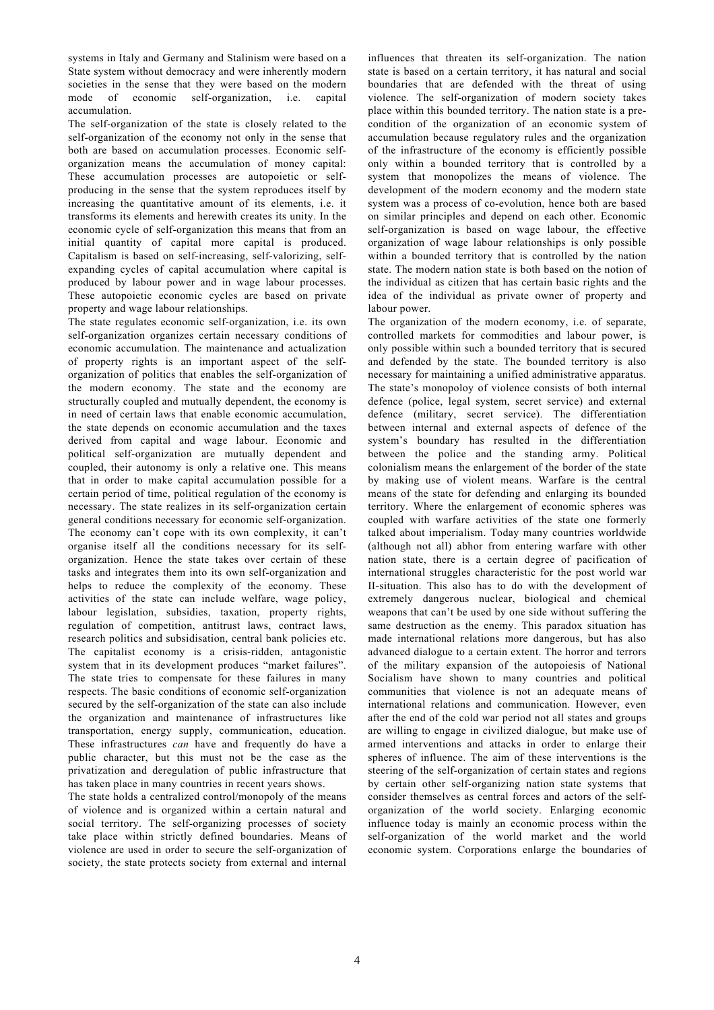systems in Italy and Germany and Stalinism were based on a State system without democracy and were inherently modern societies in the sense that they were based on the modern mode of economic self-organization, i.e. capital accumulation.

The self-organization of the state is closely related to the self-organization of the economy not only in the sense that both are based on accumulation processes. Economic selforganization means the accumulation of money capital: These accumulation processes are autopoietic or selfproducing in the sense that the system reproduces itself by increasing the quantitative amount of its elements, i.e. it transforms its elements and herewith creates its unity. In the economic cycle of self-organization this means that from an initial quantity of capital more capital is produced. Capitalism is based on self-increasing, self-valorizing, selfexpanding cycles of capital accumulation where capital is produced by labour power and in wage labour processes. These autopoietic economic cycles are based on private property and wage labour relationships.

The state regulates economic self-organization, i.e. its own self-organization organizes certain necessary conditions of economic accumulation. The maintenance and actualization of property rights is an important aspect of the selforganization of politics that enables the self-organization of the modern economy. The state and the economy are structurally coupled and mutually dependent, the economy is in need of certain laws that enable economic accumulation, the state depends on economic accumulation and the taxes derived from capital and wage labour. Economic and political self-organization are mutually dependent and coupled, their autonomy is only a relative one. This means that in order to make capital accumulation possible for a certain period of time, political regulation of the economy is necessary. The state realizes in its self-organization certain general conditions necessary for economic self-organization. The economy can't cope with its own complexity, it can't organise itself all the conditions necessary for its selforganization. Hence the state takes over certain of these tasks and integrates them into its own self-organization and helps to reduce the complexity of the economy. These activities of the state can include welfare, wage policy, labour legislation, subsidies, taxation, property rights, regulation of competition, antitrust laws, contract laws, research politics and subsidisation, central bank policies etc. The capitalist economy is a crisis-ridden, antagonistic system that in its development produces "market failures". The state tries to compensate for these failures in many respects. The basic conditions of economic self-organization secured by the self-organization of the state can also include the organization and maintenance of infrastructures like transportation, energy supply, communication, education. These infrastructures *can* have and frequently do have a public character, but this must not be the case as the privatization and deregulation of public infrastructure that has taken place in many countries in recent years shows.

The state holds a centralized control/monopoly of the means of violence and is organized within a certain natural and social territory. The self-organizing processes of society take place within strictly defined boundaries. Means of violence are used in order to secure the self-organization of society, the state protects society from external and internal

influences that threaten its self-organization. The nation state is based on a certain territory, it has natural and social boundaries that are defended with the threat of using violence. The self-organization of modern society takes place within this bounded territory. The nation state is a precondition of the organization of an economic system of accumulation because regulatory rules and the organization of the infrastructure of the economy is efficiently possible only within a bounded territory that is controlled by a system that monopolizes the means of violence. The development of the modern economy and the modern state system was a process of co-evolution, hence both are based on similar principles and depend on each other. Economic self-organization is based on wage labour, the effective organization of wage labour relationships is only possible within a bounded territory that is controlled by the nation state. The modern nation state is both based on the notion of the individual as citizen that has certain basic rights and the idea of the individual as private owner of property and labour power.

The organization of the modern economy, i.e. of separate, controlled markets for commodities and labour power, is only possible within such a bounded territory that is secured and defended by the state. The bounded territory is also necessary for maintaining a unified administrative apparatus. The state's monopoloy of violence consists of both internal defence (police, legal system, secret service) and external defence (military, secret service). The differentiation between internal and external aspects of defence of the system's boundary has resulted in the differentiation between the police and the standing army. Political colonialism means the enlargement of the border of the state by making use of violent means. Warfare is the central means of the state for defending and enlarging its bounded territory. Where the enlargement of economic spheres was coupled with warfare activities of the state one formerly talked about imperialism. Today many countries worldwide (although not all) abhor from entering warfare with other nation state, there is a certain degree of pacification of international struggles characteristic for the post world war II-situation. This also has to do with the development of extremely dangerous nuclear, biological and chemical weapons that can't be used by one side without suffering the same destruction as the enemy. This paradox situation has made international relations more dangerous, but has also advanced dialogue to a certain extent. The horror and terrors of the military expansion of the autopoiesis of National Socialism have shown to many countries and political communities that violence is not an adequate means of international relations and communication. However, even after the end of the cold war period not all states and groups are willing to engage in civilized dialogue, but make use of armed interventions and attacks in order to enlarge their spheres of influence. The aim of these interventions is the steering of the self-organization of certain states and regions by certain other self-organizing nation state systems that consider themselves as central forces and actors of the selforganization of the world society. Enlarging economic influence today is mainly an economic process within the self-organization of the world market and the world economic system. Corporations enlarge the boundaries of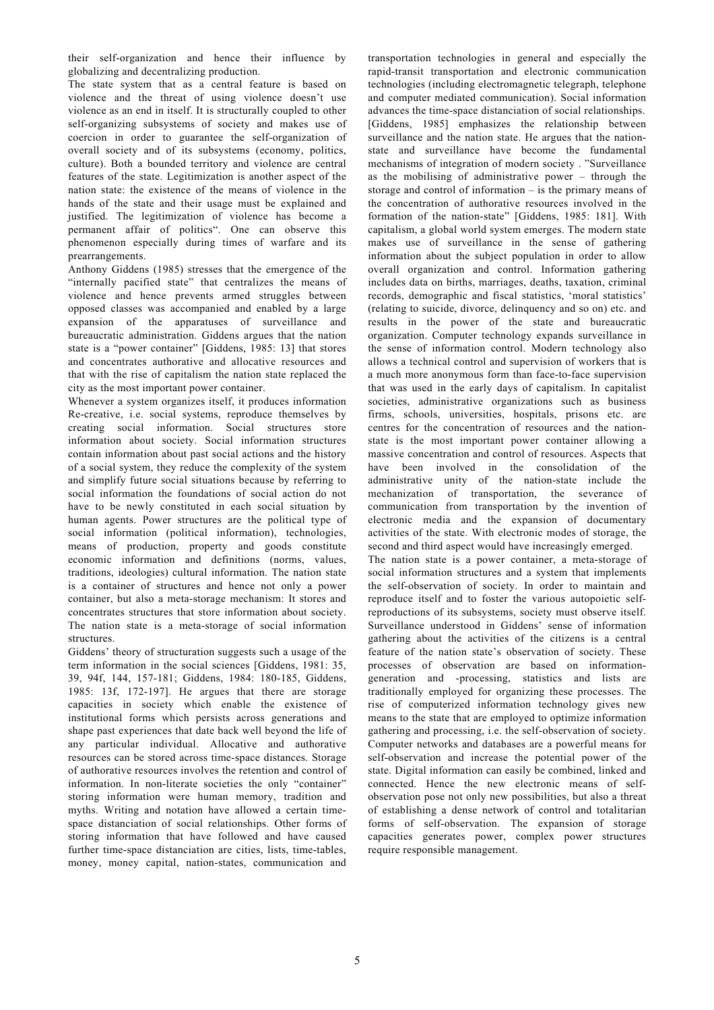their self-organization and hence their influence by globalizing and decentralizing production.

The state system that as a central feature is based on violence and the threat of using violence doesn't use violence as an end in itself. It is structurally coupled to other self-organizing subsystems of society and makes use of coercion in order to guarantee the self-organization of overall society and of its subsystems (economy, politics, culture). Both a bounded territory and violence are central features of the state. Legitimization is another aspect of the nation state: the existence of the means of violence in the hands of the state and their usage must be explained and justified. The legitimization of violence has become a permanent affair of politics". One can observe this phenomenon especially during times of warfare and its prearrangements.

Anthony Giddens (1985) stresses that the emergence of the "internally pacified state" that centralizes the means of violence and hence prevents armed struggles between opposed classes was accompanied and enabled by a large expansion of the apparatuses of surveillance and bureaucratic administration. Giddens argues that the nation state is a "power container" [Giddens, 1985: 13] that stores and concentrates authorative and allocative resources and that with the rise of capitalism the nation state replaced the city as the most important power container.

Whenever a system organizes itself, it produces information Re-creative, i.e. social systems, reproduce themselves by creating social information. Social structures store information about society. Social information structures contain information about past social actions and the history of a social system, they reduce the complexity of the system and simplify future social situations because by referring to social information the foundations of social action do not have to be newly constituted in each social situation by human agents. Power structures are the political type of social information (political information), technologies, means of production, property and goods constitute economic information and definitions (norms, values, traditions, ideologies) cultural information. The nation state is a container of structures and hence not only a power container, but also a meta-storage mechanism: It stores and concentrates structures that store information about society. The nation state is a meta-storage of social information structures.

Giddens' theory of structuration suggests such a usage of the term information in the social sciences [Giddens, 1981: 35, 39, 94f, 144, 157-181; Giddens, 1984: 180-185, Giddens, 1985: 13f, 172-197]. He argues that there are storage capacities in society which enable the existence of institutional forms which persists across generations and shape past experiences that date back well beyond the life of any particular individual. Allocative and authorative resources can be stored across time-space distances. Storage of authorative resources involves the retention and control of information. In non-literate societies the only "container" storing information were human memory, tradition and myths. Writing and notation have allowed a certain timespace distanciation of social relationships. Other forms of storing information that have followed and have caused further time-space distanciation are cities, lists, time-tables, money, money capital, nation-states, communication and

transportation technologies in general and especially the rapid-transit transportation and electronic communication technologies (including electromagnetic telegraph, telephone and computer mediated communication). Social information advances the time-space distanciation of social relationships. [Giddens, 1985] emphasizes the relationship between surveillance and the nation state. He argues that the nationstate and surveillance have become the fundamental mechanisms of integration of modern society . "Surveillance as the mobilising of administrative power – through the storage and control of information – is the primary means of the concentration of authorative resources involved in the formation of the nation-state" [Giddens, 1985: 181]. With capitalism, a global world system emerges. The modern state makes use of surveillance in the sense of gathering information about the subject population in order to allow overall organization and control. Information gathering includes data on births, marriages, deaths, taxation, criminal records, demographic and fiscal statistics, 'moral statistics' (relating to suicide, divorce, delinquency and so on) etc. and results in the power of the state and bureaucratic organization. Computer technology expands surveillance in the sense of information control. Modern technology also allows a technical control and supervision of workers that is a much more anonymous form than face-to-face supervision that was used in the early days of capitalism. In capitalist societies, administrative organizations such as business firms, schools, universities, hospitals, prisons etc. are centres for the concentration of resources and the nationstate is the most important power container allowing a massive concentration and control of resources. Aspects that have been involved in the consolidation of the administrative unity of the nation-state include the mechanization of transportation, the severance of communication from transportation by the invention of electronic media and the expansion of documentary activities of the state. With electronic modes of storage, the second and third aspect would have increasingly emerged. The nation state is a power container, a meta-storage of social information structures and a system that implements the self-observation of society. In order to maintain and reproduce itself and to foster the various autopoietic selfreproductions of its subsystems, society must observe itself. Surveillance understood in Giddens' sense of information

gathering about the activities of the citizens is a central feature of the nation state's observation of society. These processes of observation are based on informationgeneration and -processing, statistics and lists are traditionally employed for organizing these processes. The rise of computerized information technology gives new means to the state that are employed to optimize information gathering and processing, i.e. the self-observation of society. Computer networks and databases are a powerful means for self-observation and increase the potential power of the state. Digital information can easily be combined, linked and connected. Hence the new electronic means of selfobservation pose not only new possibilities, but also a threat of establishing a dense network of control and totalitarian forms of self-observation. The expansion of storage capacities generates power, complex power structures require responsible management.